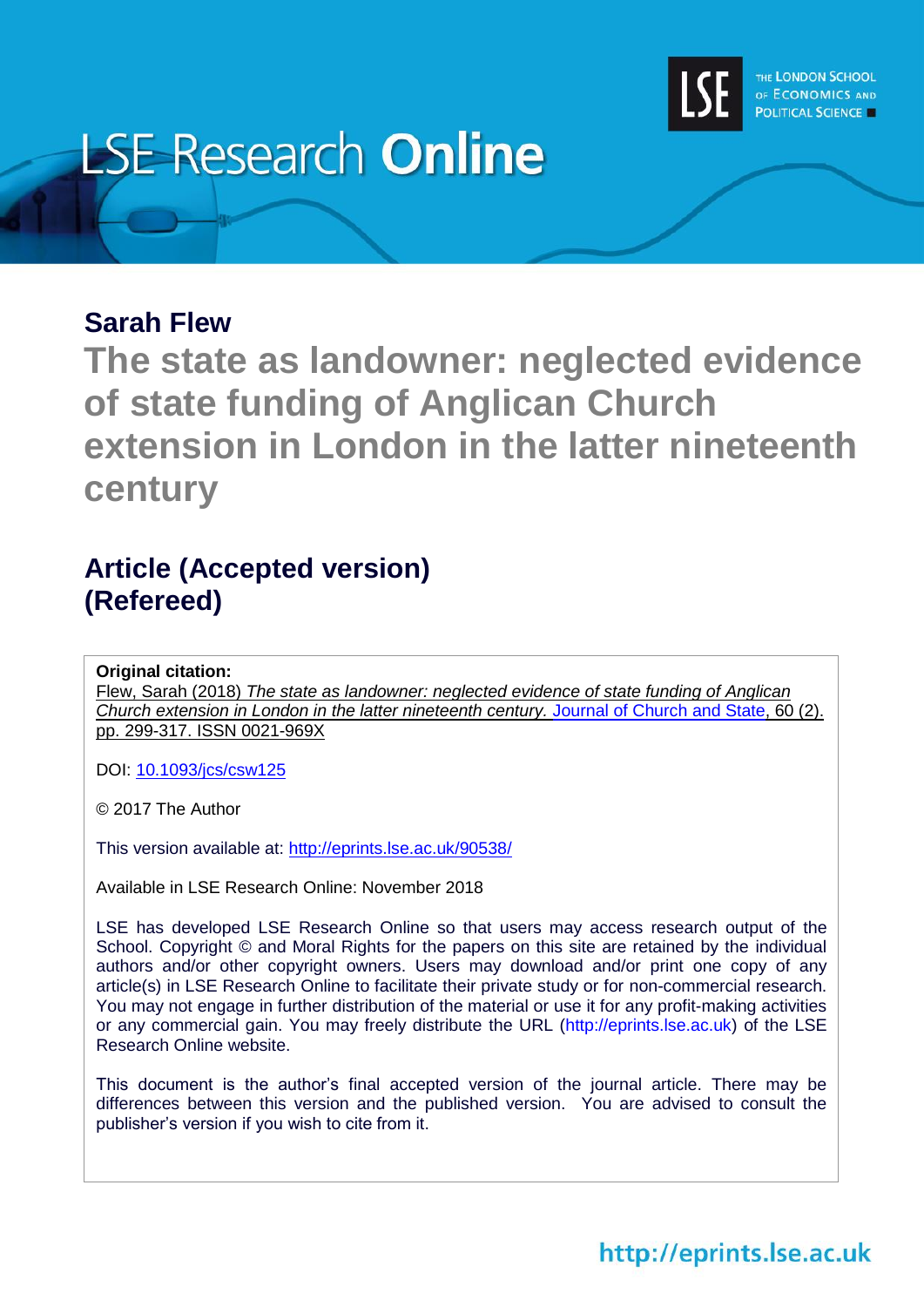

# **LSE Research Online**

## **Sarah Flew**

**The state as landowner: neglected evidence of state funding of Anglican Church extension in London in the latter nineteenth century**

## **Article (Accepted version) (Refereed)**

### **Original citation:**

Flew, Sarah (2018) *The state as landowner: neglected evidence of state funding of Anglican Church extension in London in the latter nineteenth century.* Journal [of Church and State,](https://academic.oup.com/jcs) 60 (2). pp. 299-317. ISSN 0021-969X

DOI: [10.1093/jcs/csw125](http://doi.org/10.1093/jcs/csw125)

© 2017 The Author

This version available at:<http://eprints.lse.ac.uk/90538/>

Available in LSE Research Online: November 2018

LSE has developed LSE Research Online so that users may access research output of the School. Copyright © and Moral Rights for the papers on this site are retained by the individual authors and/or other copyright owners. Users may download and/or print one copy of any article(s) in LSE Research Online to facilitate their private study or for non-commercial research. You may not engage in further distribution of the material or use it for any profit-making activities or any commercial gain. You may freely distribute the URL (http://eprints.lse.ac.uk) of the LSE Research Online website.

This document is the author's final accepted version of the journal article. There may be differences between this version and the published version. You are advised to consult the publisher's version if you wish to cite from it.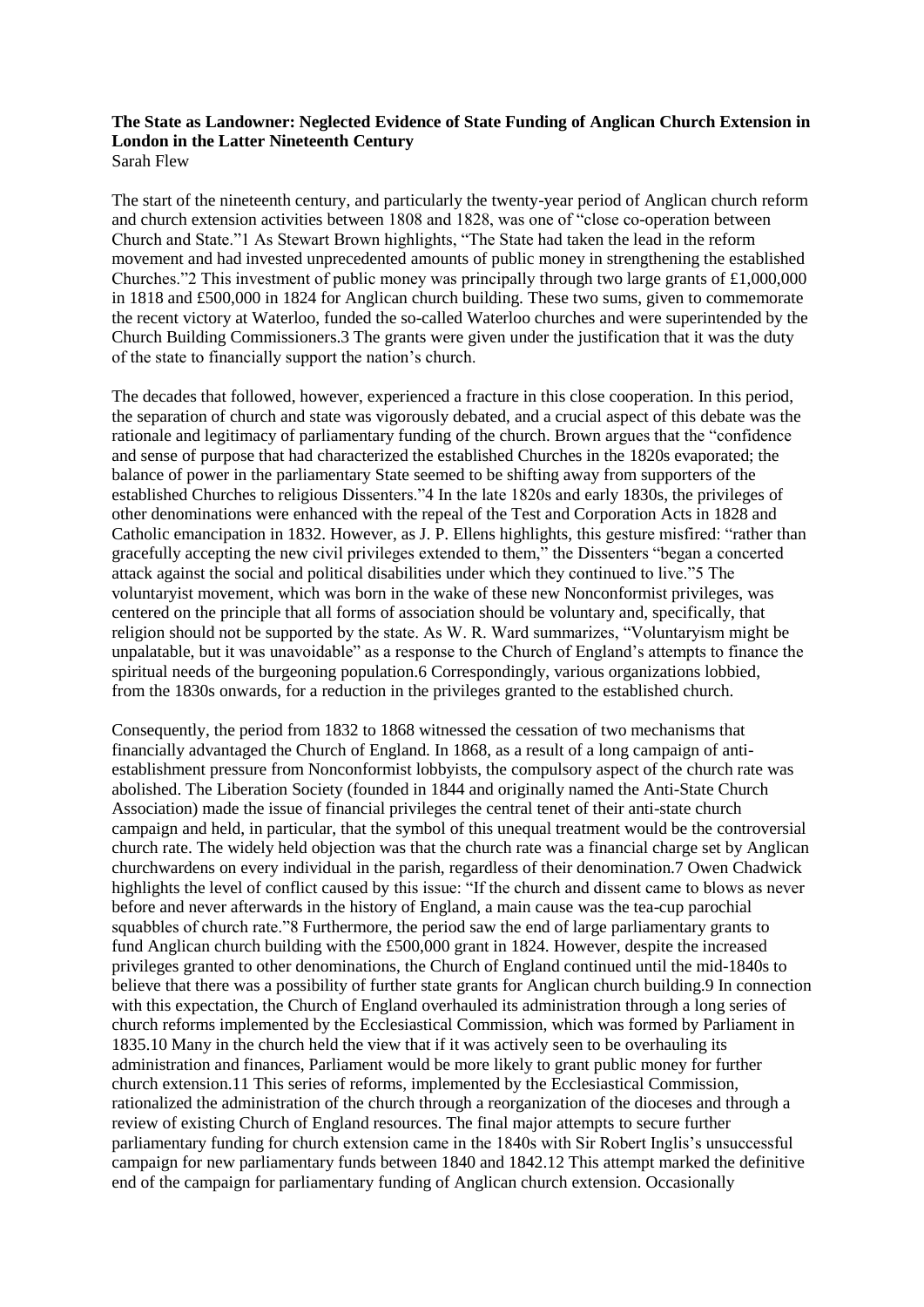#### **The State as Landowner: Neglected Evidence of State Funding of Anglican Church Extension in London in the Latter Nineteenth Century** Sarah Flew

The start of the nineteenth century, and particularly the twenty-year period of Anglican church reform and church extension activities between 1808 and 1828, was one of "close co-operation between Church and State."1 As Stewart Brown highlights, "The State had taken the lead in the reform movement and had invested unprecedented amounts of public money in strengthening the established Churches."2 This investment of public money was principally through two large grants of £1,000,000 in 1818 and £500,000 in 1824 for Anglican church building. These two sums, given to commemorate the recent victory at Waterloo, funded the so-called Waterloo churches and were superintended by the Church Building Commissioners.3 The grants were given under the justification that it was the duty of the state to financially support the nation's church.

The decades that followed, however, experienced a fracture in this close cooperation. In this period, the separation of church and state was vigorously debated, and a crucial aspect of this debate was the rationale and legitimacy of parliamentary funding of the church. Brown argues that the "confidence and sense of purpose that had characterized the established Churches in the 1820s evaporated; the balance of power in the parliamentary State seemed to be shifting away from supporters of the established Churches to religious Dissenters."4 In the late 1820s and early 1830s, the privileges of other denominations were enhanced with the repeal of the Test and Corporation Acts in 1828 and Catholic emancipation in 1832. However, as J. P. Ellens highlights, this gesture misfired: "rather than gracefully accepting the new civil privileges extended to them," the Dissenters "began a concerted attack against the social and political disabilities under which they continued to live."5 The voluntaryist movement, which was born in the wake of these new Nonconformist privileges, was centered on the principle that all forms of association should be voluntary and, specifically, that religion should not be supported by the state. As W. R. Ward summarizes, "Voluntaryism might be unpalatable, but it was unavoidable" as a response to the Church of England's attempts to finance the spiritual needs of the burgeoning population.6 Correspondingly, various organizations lobbied, from the 1830s onwards, for a reduction in the privileges granted to the established church.

Consequently, the period from 1832 to 1868 witnessed the cessation of two mechanisms that financially advantaged the Church of England. In 1868, as a result of a long campaign of antiestablishment pressure from Nonconformist lobbyists, the compulsory aspect of the church rate was abolished. The Liberation Society (founded in 1844 and originally named the Anti-State Church Association) made the issue of financial privileges the central tenet of their anti-state church campaign and held, in particular, that the symbol of this unequal treatment would be the controversial church rate. The widely held objection was that the church rate was a financial charge set by Anglican churchwardens on every individual in the parish, regardless of their denomination.7 Owen Chadwick highlights the level of conflict caused by this issue: "If the church and dissent came to blows as never before and never afterwards in the history of England, a main cause was the tea-cup parochial squabbles of church rate."8 Furthermore, the period saw the end of large parliamentary grants to fund Anglican church building with the £500,000 grant in 1824. However, despite the increased privileges granted to other denominations, the Church of England continued until the mid-1840s to believe that there was a possibility of further state grants for Anglican church building.9 In connection with this expectation, the Church of England overhauled its administration through a long series of church reforms implemented by the Ecclesiastical Commission, which was formed by Parliament in 1835.10 Many in the church held the view that if it was actively seen to be overhauling its administration and finances, Parliament would be more likely to grant public money for further church extension.11 This series of reforms, implemented by the Ecclesiastical Commission, rationalized the administration of the church through a reorganization of the dioceses and through a review of existing Church of England resources. The final major attempts to secure further parliamentary funding for church extension came in the 1840s with Sir Robert Inglis's unsuccessful campaign for new parliamentary funds between 1840 and 1842.12 This attempt marked the definitive end of the campaign for parliamentary funding of Anglican church extension. Occasionally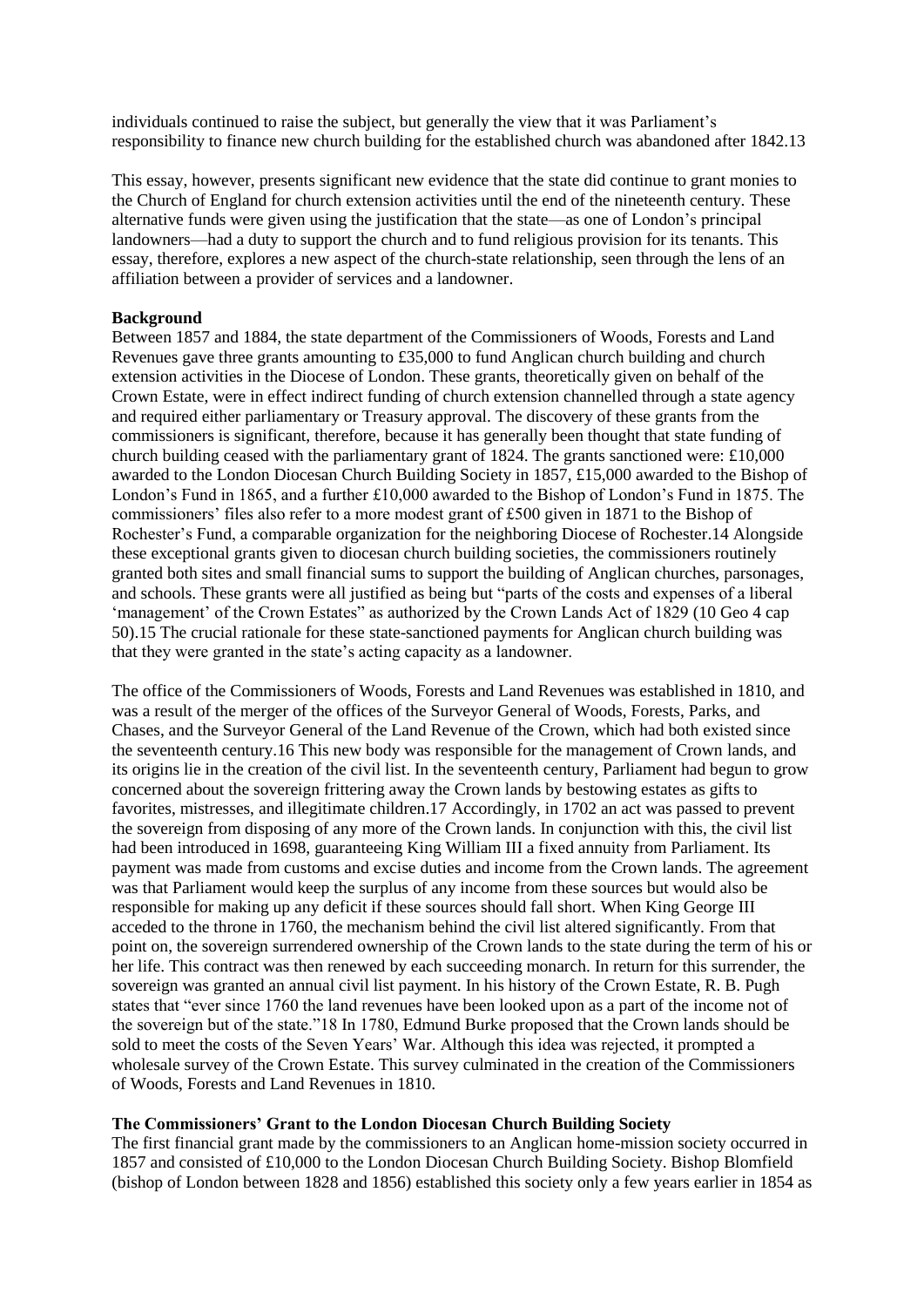individuals continued to raise the subject, but generally the view that it was Parliament's responsibility to finance new church building for the established church was abandoned after 1842.13

This essay, however, presents significant new evidence that the state did continue to grant monies to the Church of England for church extension activities until the end of the nineteenth century. These alternative funds were given using the justification that the state—as one of London's principal landowners—had a duty to support the church and to fund religious provision for its tenants. This essay, therefore, explores a new aspect of the church-state relationship, seen through the lens of an affiliation between a provider of services and a landowner.

#### **Background**

Between 1857 and 1884, the state department of the Commissioners of Woods, Forests and Land Revenues gave three grants amounting to £35,000 to fund Anglican church building and church extension activities in the Diocese of London. These grants, theoretically given on behalf of the Crown Estate, were in effect indirect funding of church extension channelled through a state agency and required either parliamentary or Treasury approval. The discovery of these grants from the commissioners is significant, therefore, because it has generally been thought that state funding of church building ceased with the parliamentary grant of 1824. The grants sanctioned were: £10,000 awarded to the London Diocesan Church Building Society in 1857, £15,000 awarded to the Bishop of London's Fund in 1865, and a further £10,000 awarded to the Bishop of London's Fund in 1875. The commissioners' files also refer to a more modest grant of £500 given in 1871 to the Bishop of Rochester's Fund, a comparable organization for the neighboring Diocese of Rochester.14 Alongside these exceptional grants given to diocesan church building societies, the commissioners routinely granted both sites and small financial sums to support the building of Anglican churches, parsonages, and schools. These grants were all justified as being but "parts of the costs and expenses of a liberal 'management' of the Crown Estates" as authorized by the Crown Lands Act of 1829 (10 Geo 4 cap 50).15 The crucial rationale for these state-sanctioned payments for Anglican church building was that they were granted in the state's acting capacity as a landowner.

The office of the Commissioners of Woods, Forests and Land Revenues was established in 1810, and was a result of the merger of the offices of the Surveyor General of Woods, Forests, Parks, and Chases, and the Surveyor General of the Land Revenue of the Crown, which had both existed since the seventeenth century.16 This new body was responsible for the management of Crown lands, and its origins lie in the creation of the civil list. In the seventeenth century, Parliament had begun to grow concerned about the sovereign frittering away the Crown lands by bestowing estates as gifts to favorites, mistresses, and illegitimate children.17 Accordingly, in 1702 an act was passed to prevent the sovereign from disposing of any more of the Crown lands. In conjunction with this, the civil list had been introduced in 1698, guaranteeing King William III a fixed annuity from Parliament. Its payment was made from customs and excise duties and income from the Crown lands. The agreement was that Parliament would keep the surplus of any income from these sources but would also be responsible for making up any deficit if these sources should fall short. When King George III acceded to the throne in 1760, the mechanism behind the civil list altered significantly. From that point on, the sovereign surrendered ownership of the Crown lands to the state during the term of his or her life. This contract was then renewed by each succeeding monarch. In return for this surrender, the sovereign was granted an annual civil list payment. In his history of the Crown Estate, R. B. Pugh states that "ever since 1760 the land revenues have been looked upon as a part of the income not of the sovereign but of the state."18 In 1780, Edmund Burke proposed that the Crown lands should be sold to meet the costs of the Seven Years' War. Although this idea was rejected, it prompted a wholesale survey of the Crown Estate. This survey culminated in the creation of the Commissioners of Woods, Forests and Land Revenues in 1810.

#### **The Commissioners' Grant to the London Diocesan Church Building Society**

The first financial grant made by the commissioners to an Anglican home-mission society occurred in 1857 and consisted of £10,000 to the London Diocesan Church Building Society. Bishop Blomfield (bishop of London between 1828 and 1856) established this society only a few years earlier in 1854 as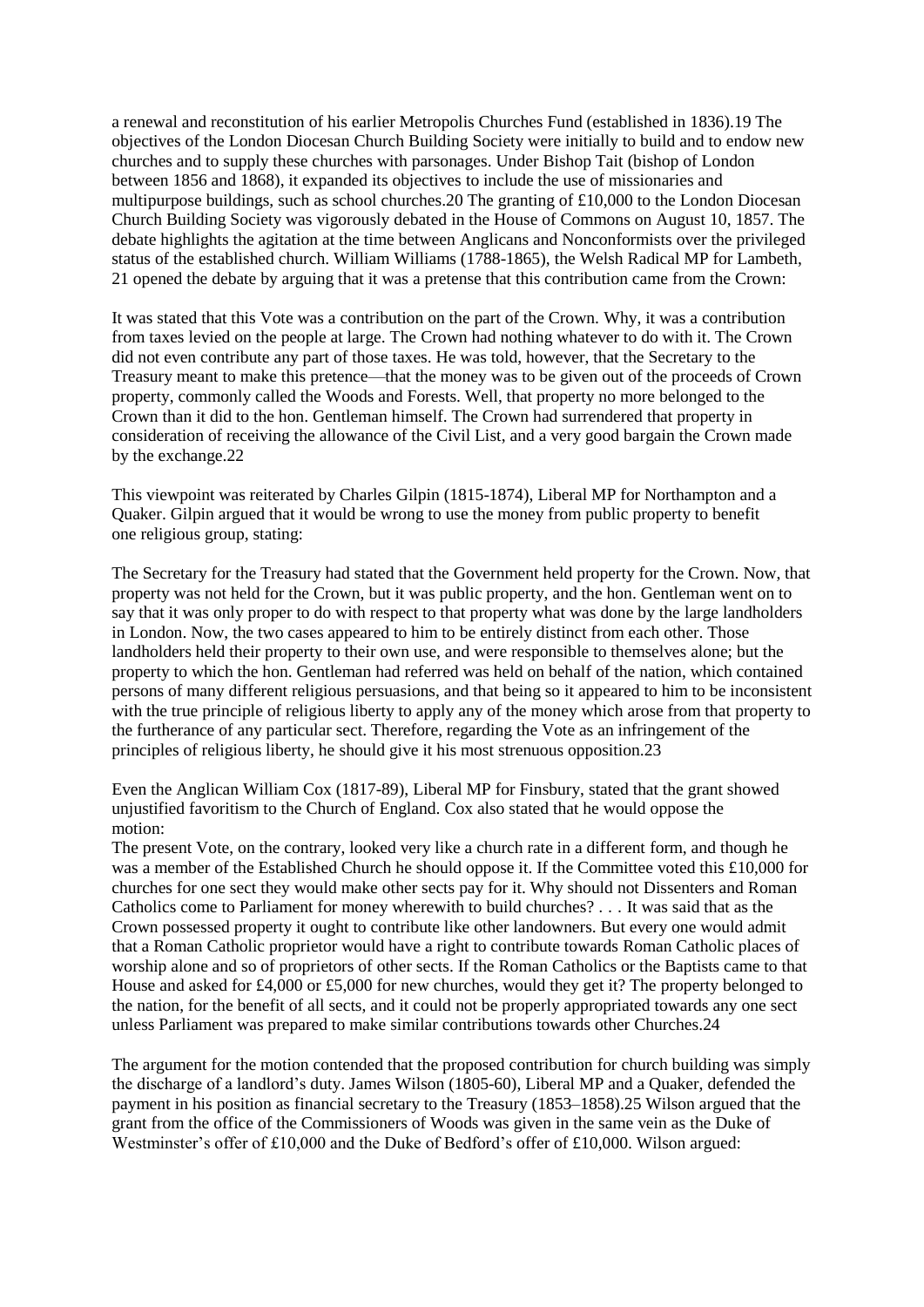a renewal and reconstitution of his earlier Metropolis Churches Fund (established in 1836).19 The objectives of the London Diocesan Church Building Society were initially to build and to endow new churches and to supply these churches with parsonages. Under Bishop Tait (bishop of London between 1856 and 1868), it expanded its objectives to include the use of missionaries and multipurpose buildings, such as school churches. 20 The granting of  $\text{\pounds}10,000$  to the London Diocesan Church Building Society was vigorously debated in the House of Commons on August 10, 1857. The debate highlights the agitation at the time between Anglicans and Nonconformists over the privileged status of the established church. William Williams (1788-1865), the Welsh Radical MP for Lambeth, 21 opened the debate by arguing that it was a pretense that this contribution came from the Crown:

It was stated that this Vote was a contribution on the part of the Crown. Why, it was a contribution from taxes levied on the people at large. The Crown had nothing whatever to do with it. The Crown did not even contribute any part of those taxes. He was told, however, that the Secretary to the Treasury meant to make this pretence—that the money was to be given out of the proceeds of Crown property, commonly called the Woods and Forests. Well, that property no more belonged to the Crown than it did to the hon. Gentleman himself. The Crown had surrendered that property in consideration of receiving the allowance of the Civil List, and a very good bargain the Crown made by the exchange.22

This viewpoint was reiterated by Charles Gilpin (1815-1874), Liberal MP for Northampton and a Quaker. Gilpin argued that it would be wrong to use the money from public property to benefit one religious group, stating:

The Secretary for the Treasury had stated that the Government held property for the Crown. Now, that property was not held for the Crown, but it was public property, and the hon. Gentleman went on to say that it was only proper to do with respect to that property what was done by the large landholders in London. Now, the two cases appeared to him to be entirely distinct from each other. Those landholders held their property to their own use, and were responsible to themselves alone; but the property to which the hon. Gentleman had referred was held on behalf of the nation, which contained persons of many different religious persuasions, and that being so it appeared to him to be inconsistent with the true principle of religious liberty to apply any of the money which arose from that property to the furtherance of any particular sect. Therefore, regarding the Vote as an infringement of the principles of religious liberty, he should give it his most strenuous opposition.23

Even the Anglican William Cox (1817-89), Liberal MP for Finsbury, stated that the grant showed unjustified favoritism to the Church of England. Cox also stated that he would oppose the motion:

The present Vote, on the contrary, looked very like a church rate in a different form, and though he was a member of the Established Church he should oppose it. If the Committee voted this £10,000 for churches for one sect they would make other sects pay for it. Why should not Dissenters and Roman Catholics come to Parliament for money wherewith to build churches? . . . It was said that as the Crown possessed property it ought to contribute like other landowners. But every one would admit that a Roman Catholic proprietor would have a right to contribute towards Roman Catholic places of worship alone and so of proprietors of other sects. If the Roman Catholics or the Baptists came to that House and asked for £4,000 or £5,000 for new churches, would they get it? The property belonged to the nation, for the benefit of all sects, and it could not be properly appropriated towards any one sect unless Parliament was prepared to make similar contributions towards other Churches.24

The argument for the motion contended that the proposed contribution for church building was simply the discharge of a landlord's duty. James Wilson (1805-60), Liberal MP and a Quaker, defended the payment in his position as financial secretary to the Treasury (1853–1858).25 Wilson argued that the grant from the office of the Commissioners of Woods was given in the same vein as the Duke of Westminster's offer of £10,000 and the Duke of Bedford's offer of £10,000. Wilson argued: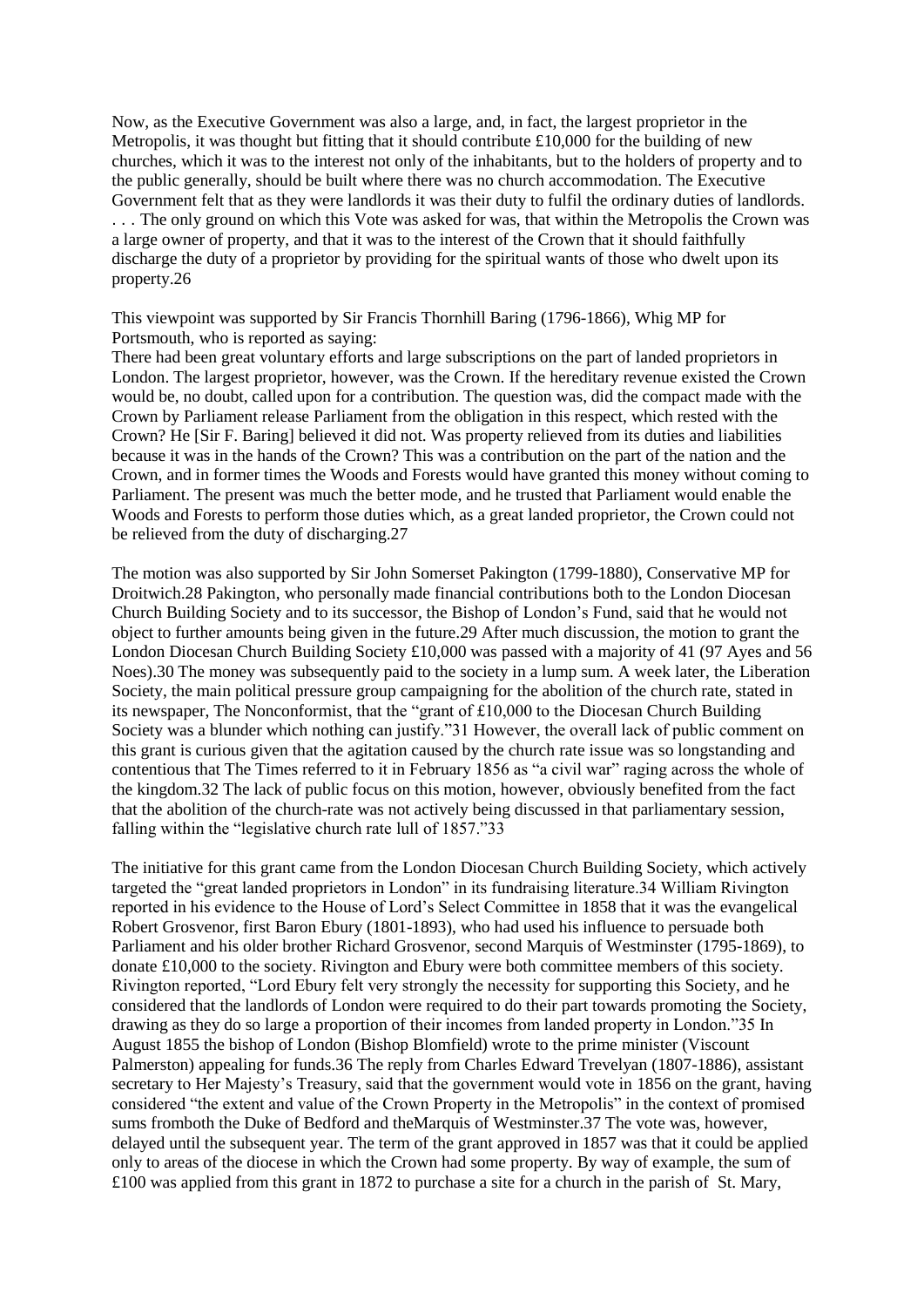Now, as the Executive Government was also a large, and, in fact, the largest proprietor in the Metropolis, it was thought but fitting that it should contribute £10,000 for the building of new churches, which it was to the interest not only of the inhabitants, but to the holders of property and to the public generally, should be built where there was no church accommodation. The Executive Government felt that as they were landlords it was their duty to fulfil the ordinary duties of landlords. . . . The only ground on which this Vote was asked for was, that within the Metropolis the Crown was a large owner of property, and that it was to the interest of the Crown that it should faithfully discharge the duty of a proprietor by providing for the spiritual wants of those who dwelt upon its property.26

This viewpoint was supported by Sir Francis Thornhill Baring (1796-1866), Whig MP for Portsmouth, who is reported as saying:

There had been great voluntary efforts and large subscriptions on the part of landed proprietors in London. The largest proprietor, however, was the Crown. If the hereditary revenue existed the Crown would be, no doubt, called upon for a contribution. The question was, did the compact made with the Crown by Parliament release Parliament from the obligation in this respect, which rested with the Crown? He [Sir F. Baring] believed it did not. Was property relieved from its duties and liabilities because it was in the hands of the Crown? This was a contribution on the part of the nation and the Crown, and in former times the Woods and Forests would have granted this money without coming to Parliament. The present was much the better mode, and he trusted that Parliament would enable the Woods and Forests to perform those duties which, as a great landed proprietor, the Crown could not be relieved from the duty of discharging.27

The motion was also supported by Sir John Somerset Pakington (1799-1880), Conservative MP for Droitwich.28 Pakington, who personally made financial contributions both to the London Diocesan Church Building Society and to its successor, the Bishop of London's Fund, said that he would not object to further amounts being given in the future.29 After much discussion, the motion to grant the London Diocesan Church Building Society £10,000 was passed with a majority of 41 (97 Ayes and 56 Noes).30 The money was subsequently paid to the society in a lump sum. A week later, the Liberation Society, the main political pressure group campaigning for the abolition of the church rate, stated in its newspaper. The Nonconformist, that the "grant of  $£10,000$  to the Diocesan Church Building Society was a blunder which nothing can justify."31 However, the overall lack of public comment on this grant is curious given that the agitation caused by the church rate issue was so longstanding and contentious that The Times referred to it in February 1856 as "a civil war" raging across the whole of the kingdom.32 The lack of public focus on this motion, however, obviously benefited from the fact that the abolition of the church-rate was not actively being discussed in that parliamentary session, falling within the "legislative church rate lull of 1857."33

The initiative for this grant came from the London Diocesan Church Building Society, which actively targeted the "great landed proprietors in London" in its fundraising literature.34 William Rivington reported in his evidence to the House of Lord's Select Committee in 1858 that it was the evangelical Robert Grosvenor, first Baron Ebury (1801-1893), who had used his influence to persuade both Parliament and his older brother Richard Grosvenor, second Marquis of Westminster (1795-1869), to donate £10,000 to the society. Rivington and Ebury were both committee members of this society. Rivington reported, "Lord Ebury felt very strongly the necessity for supporting this Society, and he considered that the landlords of London were required to do their part towards promoting the Society, drawing as they do so large a proportion of their incomes from landed property in London."35 In August 1855 the bishop of London (Bishop Blomfield) wrote to the prime minister (Viscount Palmerston) appealing for funds.36 The reply from Charles Edward Trevelyan (1807-1886), assistant secretary to Her Majesty's Treasury, said that the government would vote in 1856 on the grant, having considered "the extent and value of the Crown Property in the Metropolis" in the context of promised sums fromboth the Duke of Bedford and theMarquis of Westminster.37 The vote was, however, delayed until the subsequent year. The term of the grant approved in 1857 was that it could be applied only to areas of the diocese in which the Crown had some property. By way of example, the sum of £100 was applied from this grant in 1872 to purchase a site for a church in the parish of St. Mary,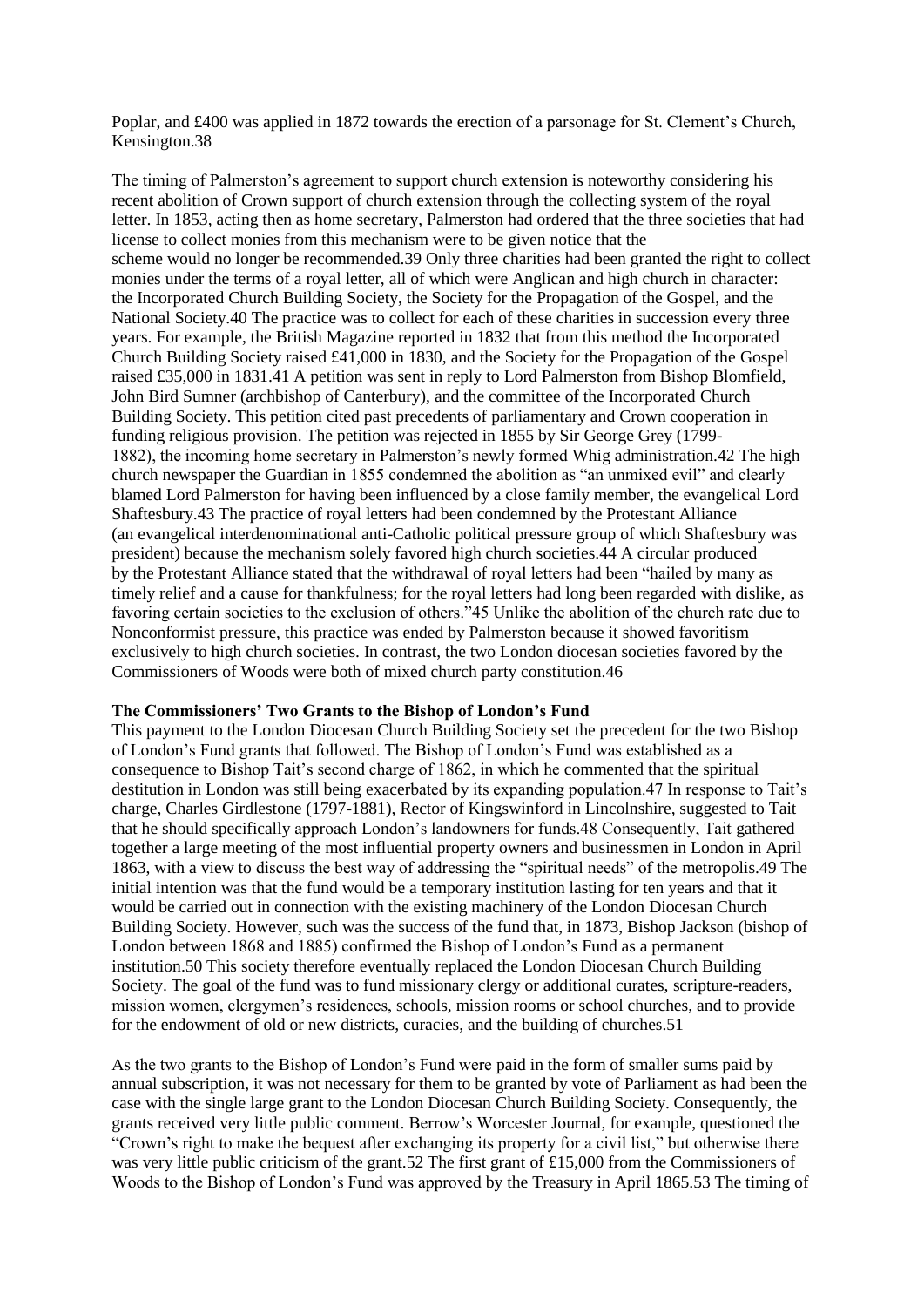Poplar, and £400 was applied in 1872 towards the erection of a parsonage for St. Clement's Church, Kensington.38

The timing of Palmerston's agreement to support church extension is noteworthy considering his recent abolition of Crown support of church extension through the collecting system of the royal letter. In 1853, acting then as home secretary, Palmerston had ordered that the three societies that had license to collect monies from this mechanism were to be given notice that the scheme would no longer be recommended.39 Only three charities had been granted the right to collect monies under the terms of a royal letter, all of which were Anglican and high church in character: the Incorporated Church Building Society, the Society for the Propagation of the Gospel, and the National Society.40 The practice was to collect for each of these charities in succession every three years. For example, the British Magazine reported in 1832 that from this method the Incorporated Church Building Society raised £41,000 in 1830, and the Society for the Propagation of the Gospel raised £35,000 in 1831.41 A petition was sent in reply to Lord Palmerston from Bishop Blomfield, John Bird Sumner (archbishop of Canterbury), and the committee of the Incorporated Church Building Society. This petition cited past precedents of parliamentary and Crown cooperation in funding religious provision. The petition was rejected in 1855 by Sir George Grey (1799- 1882), the incoming home secretary in Palmerston's newly formed Whig administration.42 The high church newspaper the Guardian in 1855 condemned the abolition as "an unmixed evil" and clearly blamed Lord Palmerston for having been influenced by a close family member, the evangelical Lord Shaftesbury.43 The practice of royal letters had been condemned by the Protestant Alliance (an evangelical interdenominational anti-Catholic political pressure group of which Shaftesbury was president) because the mechanism solely favored high church societies.44 A circular produced by the Protestant Alliance stated that the withdrawal of royal letters had been "hailed by many as timely relief and a cause for thankfulness; for the royal letters had long been regarded with dislike, as favoring certain societies to the exclusion of others."45 Unlike the abolition of the church rate due to Nonconformist pressure, this practice was ended by Palmerston because it showed favoritism exclusively to high church societies. In contrast, the two London diocesan societies favored by the Commissioners of Woods were both of mixed church party constitution.46

#### **The Commissioners' Two Grants to the Bishop of London's Fund**

This payment to the London Diocesan Church Building Society set the precedent for the two Bishop of London's Fund grants that followed. The Bishop of London's Fund was established as a consequence to Bishop Tait's second charge of 1862, in which he commented that the spiritual destitution in London was still being exacerbated by its expanding population.47 In response to Tait's charge, Charles Girdlestone (1797-1881), Rector of Kingswinford in Lincolnshire, suggested to Tait that he should specifically approach London's landowners for funds.48 Consequently, Tait gathered together a large meeting of the most influential property owners and businessmen in London in April 1863, with a view to discuss the best way of addressing the "spiritual needs" of the metropolis.49 The initial intention was that the fund would be a temporary institution lasting for ten years and that it would be carried out in connection with the existing machinery of the London Diocesan Church Building Society. However, such was the success of the fund that, in 1873, Bishop Jackson (bishop of London between 1868 and 1885) confirmed the Bishop of London's Fund as a permanent institution.50 This society therefore eventually replaced the London Diocesan Church Building Society. The goal of the fund was to fund missionary clergy or additional curates, scripture-readers, mission women, clergymen's residences, schools, mission rooms or school churches, and to provide for the endowment of old or new districts, curacies, and the building of churches.51

As the two grants to the Bishop of London's Fund were paid in the form of smaller sums paid by annual subscription, it was not necessary for them to be granted by vote of Parliament as had been the case with the single large grant to the London Diocesan Church Building Society. Consequently, the grants received very little public comment. Berrow's Worcester Journal, for example, questioned the "Crown's right to make the bequest after exchanging its property for a civil list," but otherwise there was very little public criticism of the grant.52 The first grant of £15,000 from the Commissioners of Woods to the Bishop of London's Fund was approved by the Treasury in April 1865.53 The timing of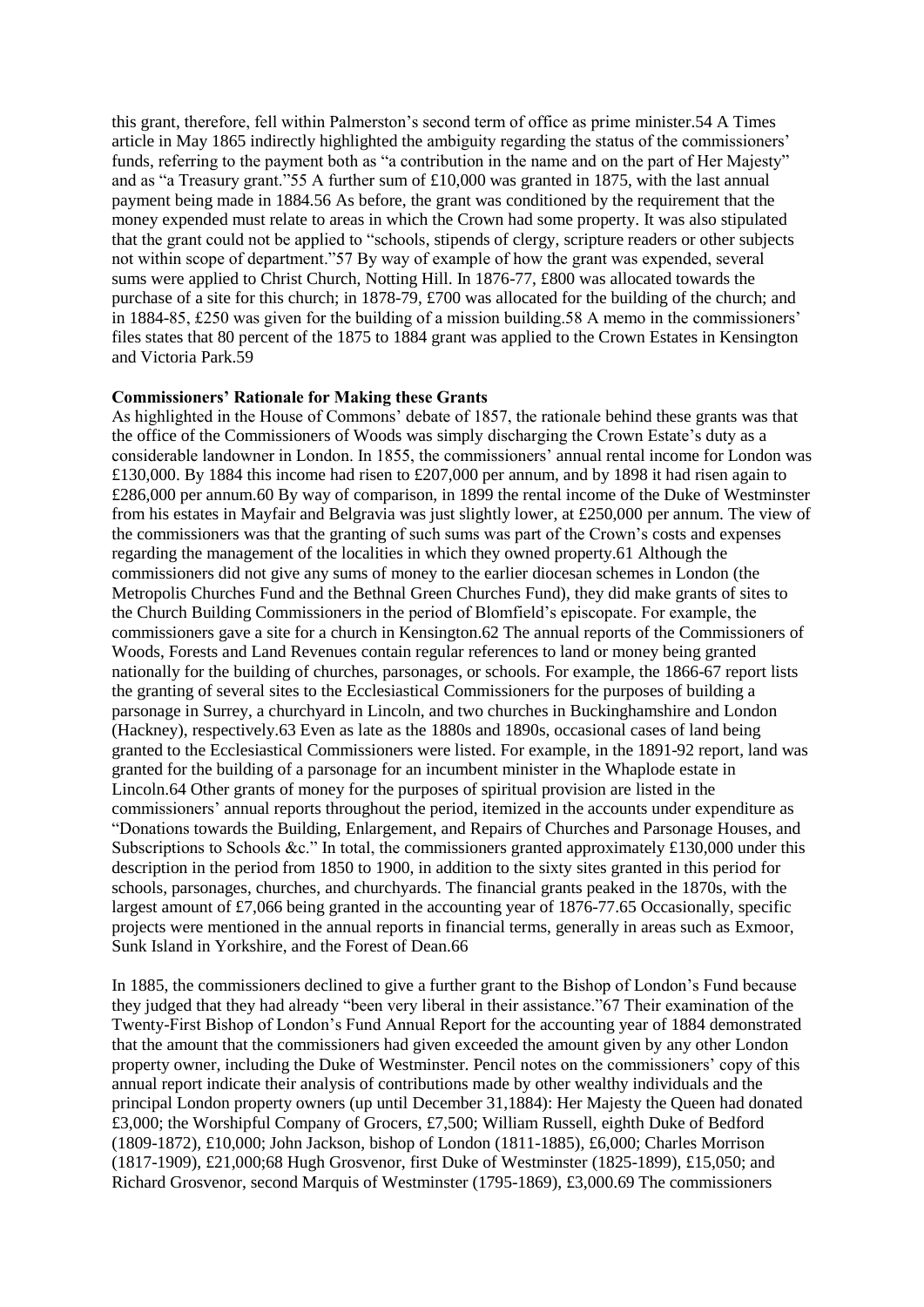this grant, therefore, fell within Palmerston's second term of office as prime minister.54 A Times article in May 1865 indirectly highlighted the ambiguity regarding the status of the commissioners' funds, referring to the payment both as "a contribution in the name and on the part of Her Majesty" and as "a Treasury grant."55 A further sum of £10,000 was granted in 1875, with the last annual payment being made in 1884.56 As before, the grant was conditioned by the requirement that the money expended must relate to areas in which the Crown had some property. It was also stipulated that the grant could not be applied to "schools, stipends of clergy, scripture readers or other subjects not within scope of department."57 By way of example of how the grant was expended, several sums were applied to Christ Church, Notting Hill. In 1876-77, £800 was allocated towards the purchase of a site for this church; in 1878-79, £700 was allocated for the building of the church; and in 1884-85, £250 was given for the building of a mission building.58 A memo in the commissioners' files states that 80 percent of the 1875 to 1884 grant was applied to the Crown Estates in Kensington and Victoria Park.59

#### **Commissioners' Rationale for Making these Grants**

As highlighted in the House of Commons' debate of 1857, the rationale behind these grants was that the office of the Commissioners of Woods was simply discharging the Crown Estate's duty as a considerable landowner in London. In 1855, the commissioners' annual rental income for London was £130,000. By 1884 this income had risen to £207,000 per annum, and by 1898 it had risen again to £286,000 per annum.60 By way of comparison, in 1899 the rental income of the Duke of Westminster from his estates in Mayfair and Belgravia was just slightly lower, at £250,000 per annum. The view of the commissioners was that the granting of such sums was part of the Crown's costs and expenses regarding the management of the localities in which they owned property.61 Although the commissioners did not give any sums of money to the earlier diocesan schemes in London (the Metropolis Churches Fund and the Bethnal Green Churches Fund), they did make grants of sites to the Church Building Commissioners in the period of Blomfield's episcopate. For example, the commissioners gave a site for a church in Kensington.62 The annual reports of the Commissioners of Woods, Forests and Land Revenues contain regular references to land or money being granted nationally for the building of churches, parsonages, or schools. For example, the 1866-67 report lists the granting of several sites to the Ecclesiastical Commissioners for the purposes of building a parsonage in Surrey, a churchyard in Lincoln, and two churches in Buckinghamshire and London (Hackney), respectively.63 Even as late as the 1880s and 1890s, occasional cases of land being granted to the Ecclesiastical Commissioners were listed. For example, in the 1891-92 report, land was granted for the building of a parsonage for an incumbent minister in the Whaplode estate in Lincoln.64 Other grants of money for the purposes of spiritual provision are listed in the commissioners' annual reports throughout the period, itemized in the accounts under expenditure as "Donations towards the Building, Enlargement, and Repairs of Churches and Parsonage Houses, and Subscriptions to Schools &c." In total, the commissioners granted approximately £130,000 under this description in the period from 1850 to 1900, in addition to the sixty sites granted in this period for schools, parsonages, churches, and churchyards. The financial grants peaked in the 1870s, with the largest amount of £7,066 being granted in the accounting year of 1876-77.65 Occasionally, specific projects were mentioned in the annual reports in financial terms, generally in areas such as Exmoor, Sunk Island in Yorkshire, and the Forest of Dean 66

In 1885, the commissioners declined to give a further grant to the Bishop of London's Fund because they judged that they had already "been very liberal in their assistance."67 Their examination of the Twenty-First Bishop of London's Fund Annual Report for the accounting year of 1884 demonstrated that the amount that the commissioners had given exceeded the amount given by any other London property owner, including the Duke of Westminster. Pencil notes on the commissioners' copy of this annual report indicate their analysis of contributions made by other wealthy individuals and the principal London property owners (up until December 31,1884): Her Majesty the Queen had donated £3,000; the Worshipful Company of Grocers, £7,500; William Russell, eighth Duke of Bedford (1809-1872), £10,000; John Jackson, bishop of London (1811-1885), £6,000; Charles Morrison (1817-1909), £21,000;68 Hugh Grosvenor, first Duke of Westminster (1825-1899), £15,050; and Richard Grosvenor, second Marquis of Westminster (1795-1869), £3,000.69 The commissioners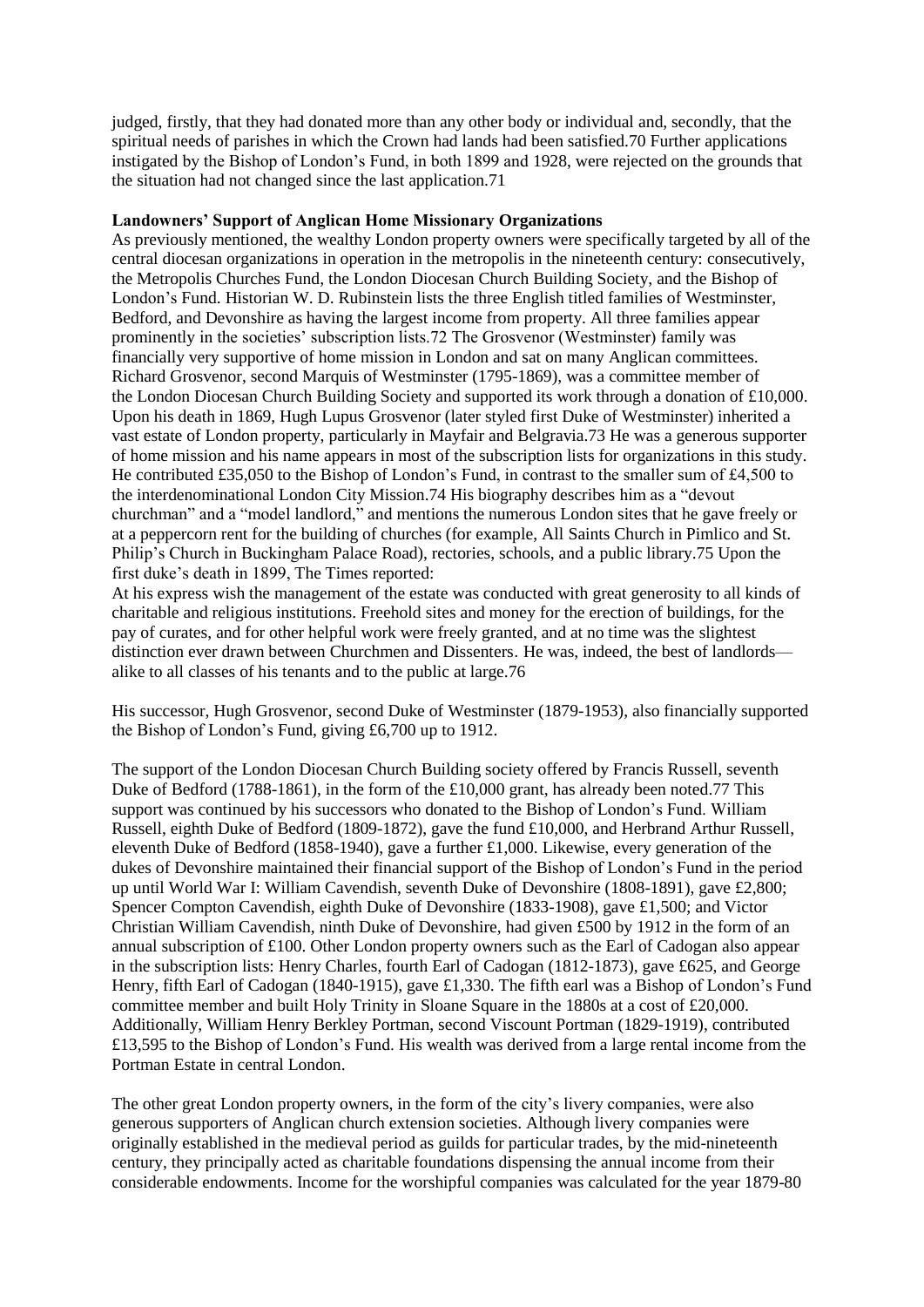judged, firstly, that they had donated more than any other body or individual and, secondly, that the spiritual needs of parishes in which the Crown had lands had been satisfied.70 Further applications instigated by the Bishop of London's Fund, in both 1899 and 1928, were rejected on the grounds that the situation had not changed since the last application.71

#### **Landowners' Support of Anglican Home Missionary Organizations**

As previously mentioned, the wealthy London property owners were specifically targeted by all of the central diocesan organizations in operation in the metropolis in the nineteenth century: consecutively, the Metropolis Churches Fund, the London Diocesan Church Building Society, and the Bishop of London's Fund. Historian W. D. Rubinstein lists the three English titled families of Westminster, Bedford, and Devonshire as having the largest income from property. All three families appear prominently in the societies' subscription lists.72 The Grosvenor (Westminster) family was financially very supportive of home mission in London and sat on many Anglican committees. Richard Grosvenor, second Marquis of Westminster (1795-1869), was a committee member of the London Diocesan Church Building Society and supported its work through a donation of £10,000. Upon his death in 1869, Hugh Lupus Grosvenor (later styled first Duke of Westminster) inherited a vast estate of London property, particularly in Mayfair and Belgravia.73 He was a generous supporter of home mission and his name appears in most of the subscription lists for organizations in this study. He contributed £35,050 to the Bishop of London's Fund, in contrast to the smaller sum of £4,500 to the interdenominational London City Mission.74 His biography describes him as a "devout churchman" and a "model landlord," and mentions the numerous London sites that he gave freely or at a peppercorn rent for the building of churches (for example, All Saints Church in Pimlico and St. Philip's Church in Buckingham Palace Road), rectories, schools, and a public library.75 Upon the first duke's death in 1899, The Times reported:

At his express wish the management of the estate was conducted with great generosity to all kinds of charitable and religious institutions. Freehold sites and money for the erection of buildings, for the pay of curates, and for other helpful work were freely granted, and at no time was the slightest distinction ever drawn between Churchmen and Dissenters. He was, indeed, the best of landlords alike to all classes of his tenants and to the public at large.76

His successor, Hugh Grosvenor, second Duke of Westminster (1879-1953), also financially supported the Bishop of London's Fund, giving £6,700 up to 1912.

The support of the London Diocesan Church Building society offered by Francis Russell, seventh Duke of Bedford (1788-1861), in the form of the £10,000 grant, has already been noted.77 This support was continued by his successors who donated to the Bishop of London's Fund. William Russell, eighth Duke of Bedford (1809-1872), gave the fund £10,000, and Herbrand Arthur Russell, eleventh Duke of Bedford (1858-1940), gave a further £1,000. Likewise, every generation of the dukes of Devonshire maintained their financial support of the Bishop of London's Fund in the period up until World War I: William Cavendish, seventh Duke of Devonshire (1808-1891), gave £2,800; Spencer Compton Cavendish, eighth Duke of Devonshire (1833-1908), gave £1,500; and Victor Christian William Cavendish, ninth Duke of Devonshire, had given £500 by 1912 in the form of an annual subscription of £100. Other London property owners such as the Earl of Cadogan also appear in the subscription lists: Henry Charles, fourth Earl of Cadogan (1812-1873), gave £625, and George Henry, fifth Earl of Cadogan (1840-1915), gave £1,330. The fifth earl was a Bishop of London's Fund committee member and built Holy Trinity in Sloane Square in the 1880s at a cost of £20,000. Additionally, William Henry Berkley Portman, second Viscount Portman (1829-1919), contributed £13,595 to the Bishop of London's Fund. His wealth was derived from a large rental income from the Portman Estate in central London.

The other great London property owners, in the form of the city's livery companies, were also generous supporters of Anglican church extension societies. Although livery companies were originally established in the medieval period as guilds for particular trades, by the mid-nineteenth century, they principally acted as charitable foundations dispensing the annual income from their considerable endowments. Income for the worshipful companies was calculated for the year 1879-80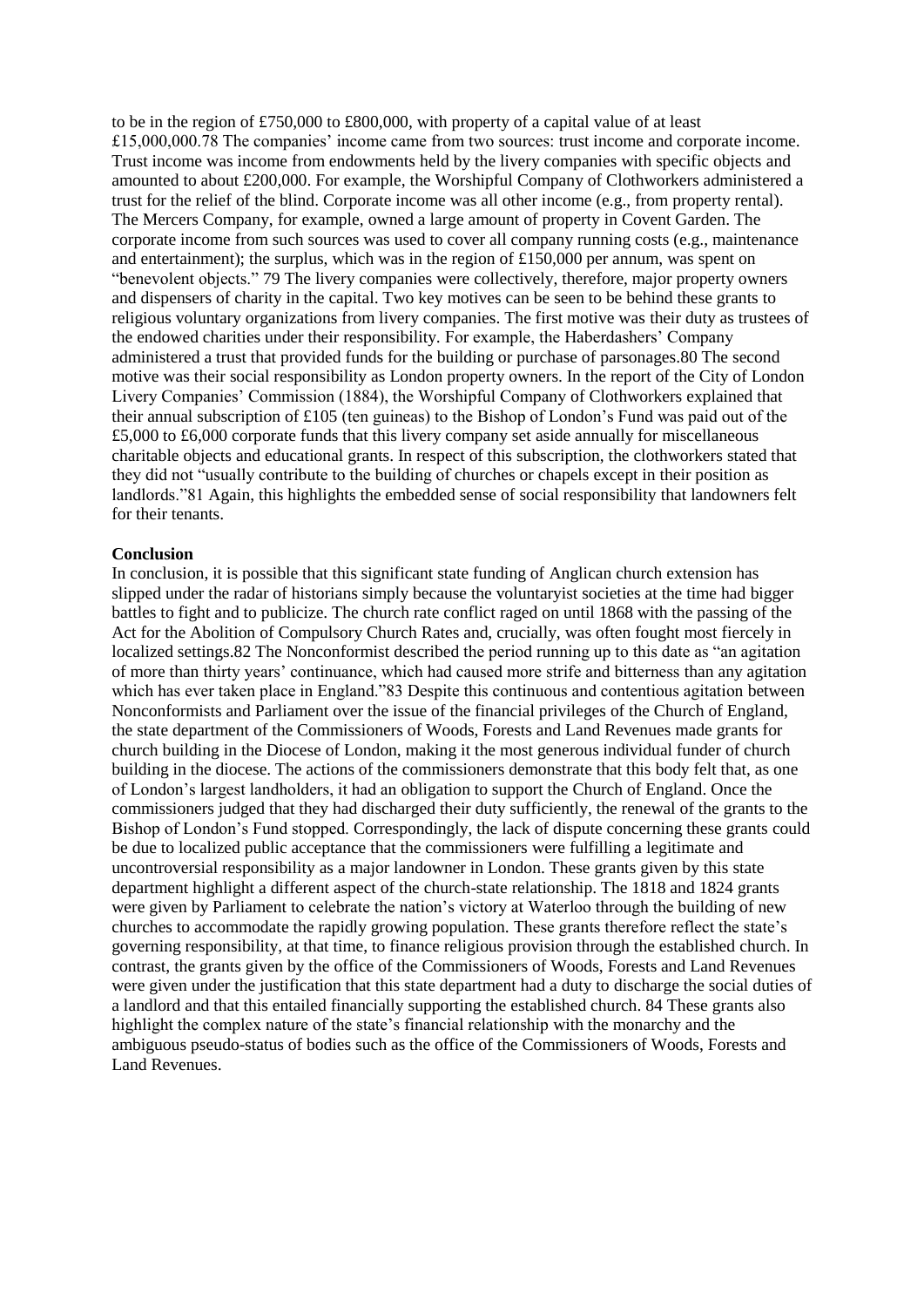to be in the region of £750,000 to £800,000, with property of a capital value of at least £15,000,000.78 The companies' income came from two sources: trust income and corporate income. Trust income was income from endowments held by the livery companies with specific objects and amounted to about £200,000. For example, the Worshipful Company of Clothworkers administered a trust for the relief of the blind. Corporate income was all other income (e.g., from property rental). The Mercers Company, for example, owned a large amount of property in Covent Garden. The corporate income from such sources was used to cover all company running costs (e.g., maintenance and entertainment); the surplus, which was in the region of £150,000 per annum, was spent on "benevolent objects." 79 The livery companies were collectively, therefore, major property owners and dispensers of charity in the capital. Two key motives can be seen to be behind these grants to religious voluntary organizations from livery companies. The first motive was their duty as trustees of the endowed charities under their responsibility. For example, the Haberdashers' Company administered a trust that provided funds for the building or purchase of parsonages.80 The second motive was their social responsibility as London property owners. In the report of the City of London Livery Companies' Commission (1884), the Worshipful Company of Clothworkers explained that their annual subscription of £105 (ten guineas) to the Bishop of London's Fund was paid out of the £5,000 to £6,000 corporate funds that this livery company set aside annually for miscellaneous charitable objects and educational grants. In respect of this subscription, the clothworkers stated that they did not "usually contribute to the building of churches or chapels except in their position as landlords."81 Again, this highlights the embedded sense of social responsibility that landowners felt for their tenants.

#### **Conclusion**

In conclusion, it is possible that this significant state funding of Anglican church extension has slipped under the radar of historians simply because the voluntaryist societies at the time had bigger battles to fight and to publicize. The church rate conflict raged on until 1868 with the passing of the Act for the Abolition of Compulsory Church Rates and, crucially, was often fought most fiercely in localized settings.82 The Nonconformist described the period running up to this date as "an agitation of more than thirty years' continuance, which had caused more strife and bitterness than any agitation which has ever taken place in England."83 Despite this continuous and contentious agitation between Nonconformists and Parliament over the issue of the financial privileges of the Church of England, the state department of the Commissioners of Woods, Forests and Land Revenues made grants for church building in the Diocese of London, making it the most generous individual funder of church building in the diocese. The actions of the commissioners demonstrate that this body felt that, as one of London's largest landholders, it had an obligation to support the Church of England. Once the commissioners judged that they had discharged their duty sufficiently, the renewal of the grants to the Bishop of London's Fund stopped. Correspondingly, the lack of dispute concerning these grants could be due to localized public acceptance that the commissioners were fulfilling a legitimate and uncontroversial responsibility as a major landowner in London. These grants given by this state department highlight a different aspect of the church-state relationship. The 1818 and 1824 grants were given by Parliament to celebrate the nation's victory at Waterloo through the building of new churches to accommodate the rapidly growing population. These grants therefore reflect the state's governing responsibility, at that time, to finance religious provision through the established church. In contrast, the grants given by the office of the Commissioners of Woods, Forests and Land Revenues were given under the justification that this state department had a duty to discharge the social duties of a landlord and that this entailed financially supporting the established church. 84 These grants also highlight the complex nature of the state's financial relationship with the monarchy and the ambiguous pseudo-status of bodies such as the office of the Commissioners of Woods, Forests and Land Revenues.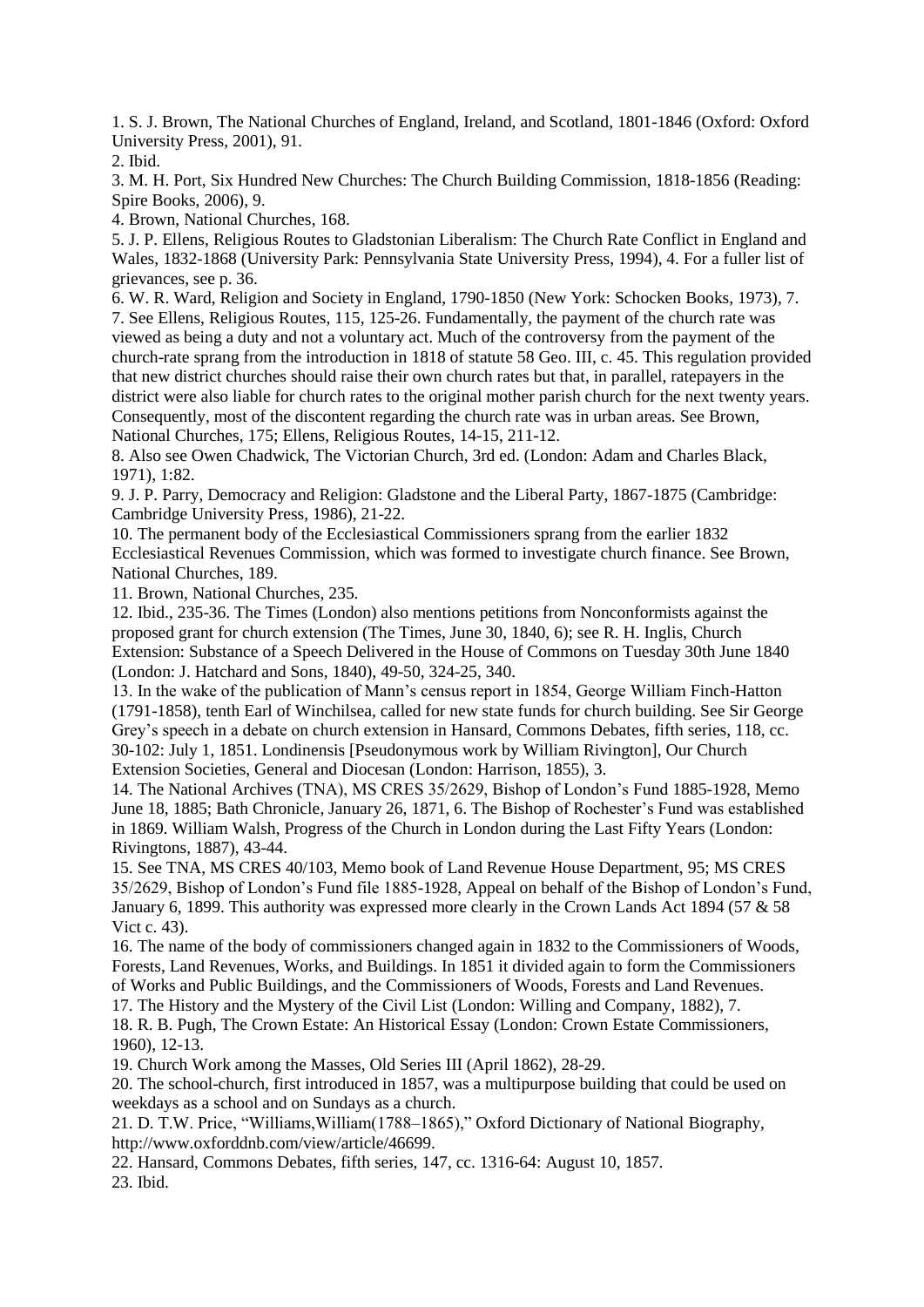1. S. J. Brown, The National Churches of England, Ireland, and Scotland, 1801-1846 (Oxford: Oxford University Press, 2001), 91.

2. Ibid.

3. M. H. Port, Six Hundred New Churches: The Church Building Commission, 1818-1856 (Reading: Spire Books, 2006), 9.

4. Brown, National Churches, 168.

5. J. P. Ellens, Religious Routes to Gladstonian Liberalism: The Church Rate Conflict in England and Wales, 1832-1868 (University Park: Pennsylvania State University Press, 1994), 4. For a fuller list of grievances, see p. 36.

6. W. R. Ward, Religion and Society in England, 1790-1850 (New York: Schocken Books, 1973), 7. 7. See Ellens, Religious Routes, 115, 125-26. Fundamentally, the payment of the church rate was viewed as being a duty and not a voluntary act. Much of the controversy from the payment of the church-rate sprang from the introduction in 1818 of statute 58 Geo. III, c. 45. This regulation provided that new district churches should raise their own church rates but that, in parallel, ratepayers in the district were also liable for church rates to the original mother parish church for the next twenty years. Consequently, most of the discontent regarding the church rate was in urban areas. See Brown, National Churches, 175; Ellens, Religious Routes, 14-15, 211-12.

8. Also see Owen Chadwick, The Victorian Church, 3rd ed. (London: Adam and Charles Black, 1971), 1:82.

9. J. P. Parry, Democracy and Religion: Gladstone and the Liberal Party, 1867-1875 (Cambridge: Cambridge University Press, 1986), 21-22.

10. The permanent body of the Ecclesiastical Commissioners sprang from the earlier 1832 Ecclesiastical Revenues Commission, which was formed to investigate church finance. See Brown, National Churches, 189.

11. Brown, National Churches, 235.

12. Ibid., 235-36. The Times (London) also mentions petitions from Nonconformists against the proposed grant for church extension (The Times, June 30, 1840, 6); see R. H. Inglis, Church Extension: Substance of a Speech Delivered in the House of Commons on Tuesday 30th June 1840 (London: J. Hatchard and Sons, 1840), 49-50, 324-25, 340.

13. In the wake of the publication of Mann's census report in 1854, George William Finch-Hatton (1791-1858), tenth Earl of Winchilsea, called for new state funds for church building. See Sir George Grey's speech in a debate on church extension in Hansard, Commons Debates, fifth series, 118, cc. 30-102: July 1, 1851. Londinensis [Pseudonymous work by William Rivington], Our Church Extension Societies, General and Diocesan (London: Harrison, 1855), 3.

14. The National Archives (TNA), MS CRES 35/2629, Bishop of London's Fund 1885-1928, Memo June 18, 1885; Bath Chronicle, January 26, 1871, 6. The Bishop of Rochester's Fund was established in 1869. William Walsh, Progress of the Church in London during the Last Fifty Years (London: Rivingtons, 1887), 43-44.

15. See TNA, MS CRES 40/103, Memo book of Land Revenue House Department, 95; MS CRES 35/2629, Bishop of London's Fund file 1885-1928, Appeal on behalf of the Bishop of London's Fund, January 6, 1899. This authority was expressed more clearly in the Crown Lands Act 1894 (57 & 58 Vict c. 43).

16. The name of the body of commissioners changed again in 1832 to the Commissioners of Woods, Forests, Land Revenues, Works, and Buildings. In 1851 it divided again to form the Commissioners of Works and Public Buildings, and the Commissioners of Woods, Forests and Land Revenues.

17. The History and the Mystery of the Civil List (London: Willing and Company, 1882), 7.

18. R. B. Pugh, The Crown Estate: An Historical Essay (London: Crown Estate Commissioners, 1960), 12-13.

19. Church Work among the Masses, Old Series III (April 1862), 28-29.

20. The school-church, first introduced in 1857, was a multipurpose building that could be used on weekdays as a school and on Sundays as a church.

21. D. T.W. Price, "Williams,William(1788–1865)," Oxford Dictionary of National Biography, http://www.oxforddnb.com/view/article/46699.

22. Hansard, Commons Debates, fifth series, 147, cc. 1316-64: August 10, 1857.

23. Ibid.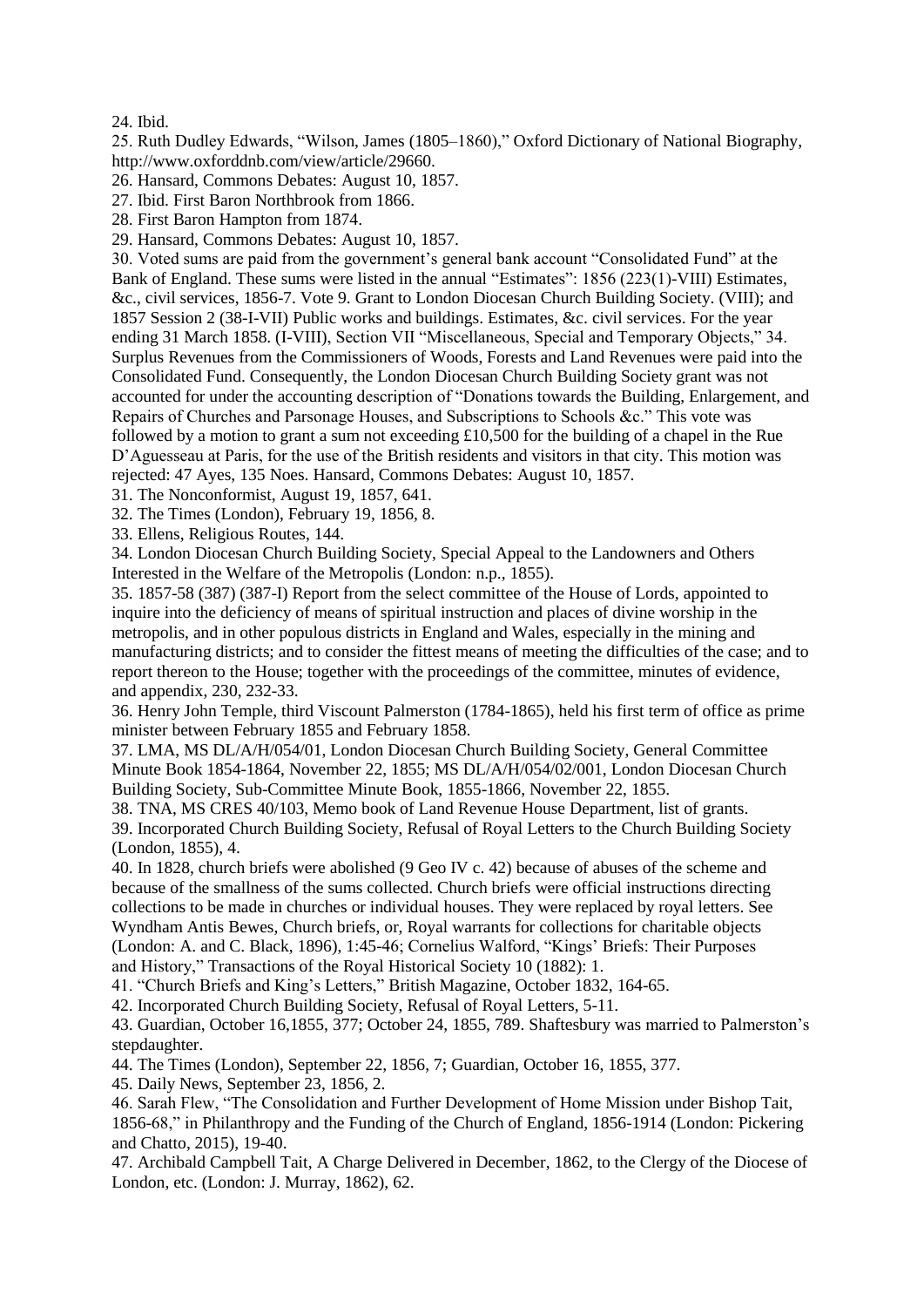#### 24. Ibid.

25. Ruth Dudley Edwards, "Wilson, James (1805–1860)," Oxford Dictionary of National Biography, http://www.oxforddnb.com/view/article/29660.

26. Hansard, Commons Debates: August 10, 1857.

27. Ibid. First Baron Northbrook from 1866.

28. First Baron Hampton from 1874.

29. Hansard, Commons Debates: August 10, 1857.

30. Voted sums are paid from the government's general bank account "Consolidated Fund" at the Bank of England. These sums were listed in the annual "Estimates": 1856 (223(1)-VIII) Estimates, &c., civil services, 1856-7. Vote 9. Grant to London Diocesan Church Building Society. (VIII); and 1857 Session 2 (38-I-VII) Public works and buildings. Estimates, &c. civil services. For the year ending 31 March 1858. (I-VIII), Section VII "Miscellaneous, Special and Temporary Objects," 34. Surplus Revenues from the Commissioners of Woods, Forests and Land Revenues were paid into the Consolidated Fund. Consequently, the London Diocesan Church Building Society grant was not accounted for under the accounting description of "Donations towards the Building, Enlargement, and Repairs of Churches and Parsonage Houses, and Subscriptions to Schools &c." This vote was followed by a motion to grant a sum not exceeding £10,500 for the building of a chapel in the Rue D'Aguesseau at Paris, for the use of the British residents and visitors in that city. This motion was rejected: 47 Ayes, 135 Noes. Hansard, Commons Debates: August 10, 1857.

31. The Nonconformist, August 19, 1857, 641.

32. The Times (London), February 19, 1856, 8.

33. Ellens, Religious Routes, 144.

34. London Diocesan Church Building Society, Special Appeal to the Landowners and Others Interested in the Welfare of the Metropolis (London: n.p., 1855).

35. 1857-58 (387) (387-I) Report from the select committee of the House of Lords, appointed to inquire into the deficiency of means of spiritual instruction and places of divine worship in the metropolis, and in other populous districts in England and Wales, especially in the mining and manufacturing districts; and to consider the fittest means of meeting the difficulties of the case; and to report thereon to the House; together with the proceedings of the committee, minutes of evidence, and appendix, 230, 232-33.

36. Henry John Temple, third Viscount Palmerston (1784-1865), held his first term of office as prime minister between February 1855 and February 1858.

37. LMA, MS DL/A/H/054/01, London Diocesan Church Building Society, General Committee Minute Book 1854-1864, November 22, 1855; MS DL/A/H/054/02/001, London Diocesan Church Building Society, Sub-Committee Minute Book, 1855-1866, November 22, 1855.

38. TNA, MS CRES 40/103, Memo book of Land Revenue House Department, list of grants. 39. Incorporated Church Building Society, Refusal of Royal Letters to the Church Building Society (London, 1855), 4.

40. In 1828, church briefs were abolished (9 Geo IV c. 42) because of abuses of the scheme and because of the smallness of the sums collected. Church briefs were official instructions directing collections to be made in churches or individual houses. They were replaced by royal letters. See Wyndham Antis Bewes, Church briefs, or, Royal warrants for collections for charitable objects (London: A. and C. Black, 1896), 1:45-46; Cornelius Walford, "Kings' Briefs: Their Purposes and History," Transactions of the Royal Historical Society 10 (1882): 1.

41. "Church Briefs and King's Letters," British Magazine, October 1832, 164-65.

42. Incorporated Church Building Society, Refusal of Royal Letters, 5-11.

43. Guardian, October 16,1855, 377; October 24, 1855, 789. Shaftesbury was married to Palmerston's stepdaughter.

44. The Times (London), September 22, 1856, 7; Guardian, October 16, 1855, 377.

45. Daily News, September 23, 1856, 2.

46. Sarah Flew, "The Consolidation and Further Development of Home Mission under Bishop Tait, 1856-68," in Philanthropy and the Funding of the Church of England, 1856-1914 (London: Pickering and Chatto, 2015), 19-40.

47. Archibald Campbell Tait, A Charge Delivered in December, 1862, to the Clergy of the Diocese of London, etc. (London: J. Murray, 1862), 62.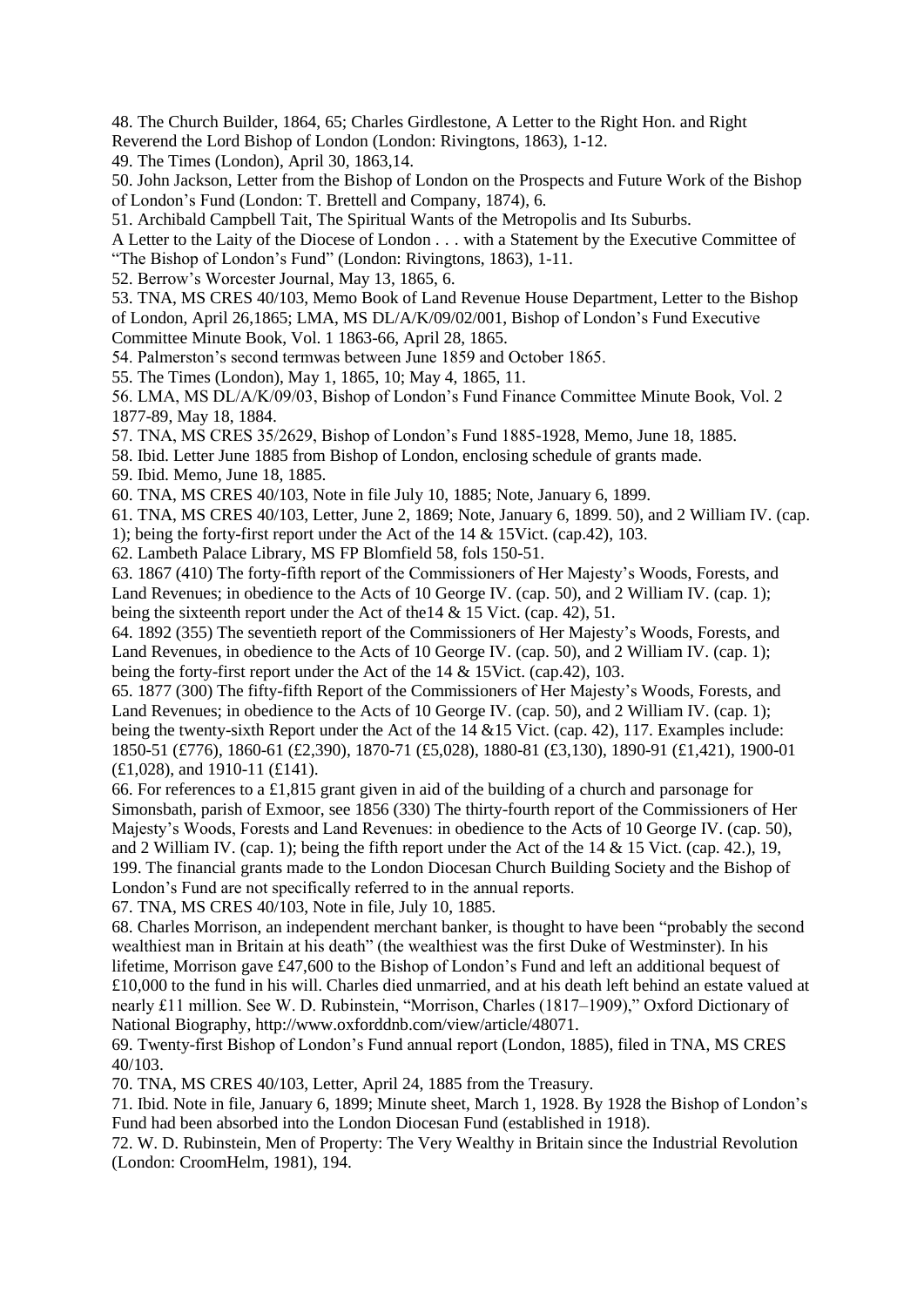48. The Church Builder, 1864, 65; Charles Girdlestone, A Letter to the Right Hon. and Right Reverend the Lord Bishop of London (London: Rivingtons, 1863), 1-12.

49. The Times (London), April 30, 1863,14.

50. John Jackson, Letter from the Bishop of London on the Prospects and Future Work of the Bishop of London's Fund (London: T. Brettell and Company, 1874), 6.

51. Archibald Campbell Tait, The Spiritual Wants of the Metropolis and Its Suburbs.

A Letter to the Laity of the Diocese of London . . . with a Statement by the Executive Committee of "The Bishop of London's Fund" (London: Rivingtons, 1863), 1-11.

52. Berrow's Worcester Journal, May 13, 1865, 6.

53. TNA, MS CRES 40/103, Memo Book of Land Revenue House Department, Letter to the Bishop of London, April 26,1865; LMA, MS DL/A/K/09/02/001, Bishop of London's Fund Executive

Committee Minute Book, Vol. 1 1863-66, April 28, 1865.

54. Palmerston's second termwas between June 1859 and October 1865.

55. The Times (London), May 1, 1865, 10; May 4, 1865, 11.

56. LMA, MS DL/A/K/09/03, Bishop of London's Fund Finance Committee Minute Book, Vol. 2 1877-89, May 18, 1884.

57. TNA, MS CRES 35/2629, Bishop of London's Fund 1885-1928, Memo, June 18, 1885.

58. Ibid. Letter June 1885 from Bishop of London, enclosing schedule of grants made. 59. Ibid. Memo, June 18, 1885.

60. TNA, MS CRES 40/103, Note in file July 10, 1885; Note, January 6, 1899.

61. TNA, MS CRES 40/103, Letter, June 2, 1869; Note, January 6, 1899. 50), and 2 William IV. (cap.

1); being the forty-first report under the Act of the 14 & 15Vict. (cap.42), 103.

62. Lambeth Palace Library, MS FP Blomfield 58, fols 150-51.

63. 1867 (410) The forty-fifth report of the Commissioners of Her Majesty's Woods, Forests, and Land Revenues; in obedience to the Acts of 10 George IV. (cap. 50), and 2 William IV. (cap. 1); being the sixteenth report under the Act of the14 & 15 Vict. (cap. 42), 51.

64. 1892 (355) The seventieth report of the Commissioners of Her Majesty's Woods, Forests, and Land Revenues, in obedience to the Acts of 10 George IV. (cap. 50), and 2 William IV. (cap. 1); being the forty-first report under the Act of the 14 & 15Vict. (cap.42), 103.

65. 1877 (300) The fifty-fifth Report of the Commissioners of Her Majesty's Woods, Forests, and Land Revenues; in obedience to the Acts of 10 George IV. (cap. 50), and 2 William IV. (cap. 1); being the twenty-sixth Report under the Act of the 14 &15 Vict. (cap. 42), 117. Examples include: 1850-51 (£776), 1860-61 (£2,390), 1870-71 (£5,028), 1880-81 (£3,130), 1890-91 (£1,421), 1900-01 (£1,028), and 1910-11 (£141).

66. For references to a £1,815 grant given in aid of the building of a church and parsonage for Simonsbath, parish of Exmoor, see 1856 (330) The thirty-fourth report of the Commissioners of Her Majesty's Woods, Forests and Land Revenues: in obedience to the Acts of 10 George IV. (cap. 50), and 2 William IV. (cap. 1); being the fifth report under the Act of the 14 & 15 Vict. (cap. 42.), 19, 199. The financial grants made to the London Diocesan Church Building Society and the Bishop of London's Fund are not specifically referred to in the annual reports.

67. TNA, MS CRES 40/103, Note in file, July 10, 1885.

68. Charles Morrison, an independent merchant banker, is thought to have been "probably the second wealthiest man in Britain at his death" (the wealthiest was the first Duke of Westminster). In his lifetime, Morrison gave £47,600 to the Bishop of London's Fund and left an additional bequest of £10,000 to the fund in his will. Charles died unmarried, and at his death left behind an estate valued at nearly £11 million. See W. D. Rubinstein, "Morrison, Charles (1817–1909)," Oxford Dictionary of National Biography, http://www.oxforddnb.com/view/article/48071.

69. Twenty-first Bishop of London's Fund annual report (London, 1885), filed in TNA, MS CRES 40/103.

70. TNA, MS CRES 40/103, Letter, April 24, 1885 from the Treasury.

71. Ibid. Note in file, January 6, 1899; Minute sheet, March 1, 1928. By 1928 the Bishop of London's Fund had been absorbed into the London Diocesan Fund (established in 1918).

72. W. D. Rubinstein, Men of Property: The Very Wealthy in Britain since the Industrial Revolution (London: CroomHelm, 1981), 194.